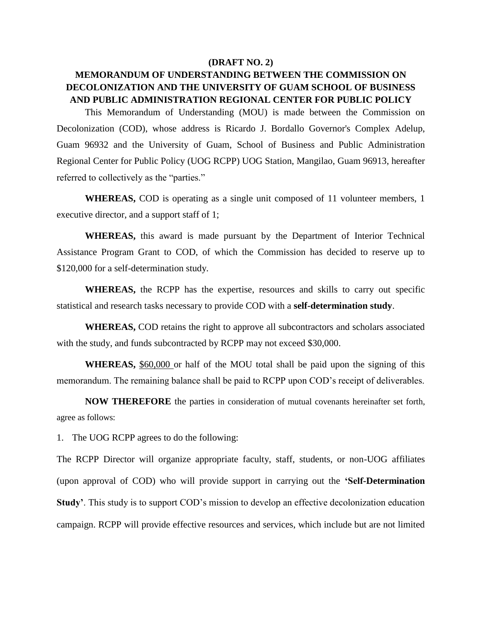## **(DRAFT NO. 2)**

## **MEMORANDUM OF UNDERSTANDING BETWEEN THE COMMISSION ON DECOLONIZATION AND THE UNIVERSITY OF GUAM SCHOOL OF BUSINESS AND PUBLIC ADMINISTRATION REGIONAL CENTER FOR PUBLIC POLICY**

This Memorandum of Understanding (MOU) is made between the Commission on Decolonization (COD), whose address is Ricardo J. Bordallo Governor's Complex Adelup, Guam 96932 and the University of Guam, School of Business and Public Administration Regional Center for Public Policy (UOG RCPP) UOG Station, Mangilao, Guam 96913, hereafter referred to collectively as the "parties."

**WHEREAS,** COD is operating as a single unit composed of 11 volunteer members, 1 executive director, and a support staff of 1;

**WHEREAS,** this award is made pursuant by the Department of Interior Technical Assistance Program Grant to COD, of which the Commission has decided to reserve up to \$120,000 for a self-determination study.

**WHEREAS,** the RCPP has the expertise, resources and skills to carry out specific statistical and research tasks necessary to provide COD with a **self-determination study**.

**WHEREAS,** COD retains the right to approve all subcontractors and scholars associated with the study, and funds subcontracted by RCPP may not exceed \$30,000.

**WHEREAS,** \$60,000 or half of the MOU total shall be paid upon the signing of this memorandum. The remaining balance shall be paid to RCPP upon COD's receipt of deliverables.

 **NOW THEREFORE** the parties in consideration of mutual covenants hereinafter set forth, agree as follows:

1. The UOG RCPP agrees to do the following:

The RCPP Director will organize appropriate faculty, staff, students, or non-UOG affiliates (upon approval of COD) who will provide support in carrying out the **'Self-Determination Study'**. This study is to support COD's mission to develop an effective decolonization education campaign. RCPP will provide effective resources and services, which include but are not limited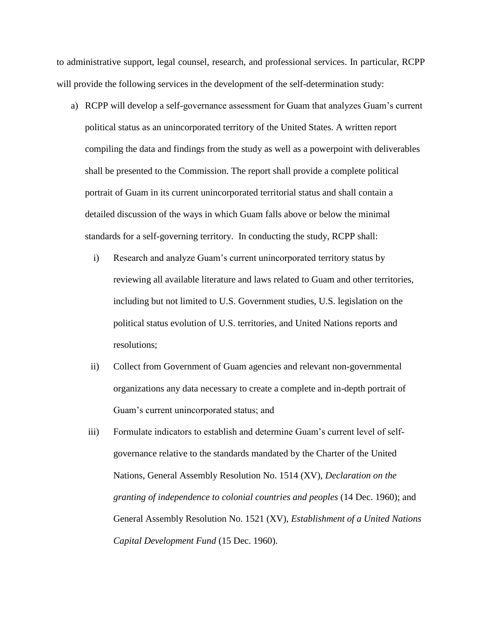to administrative support, legal counsel, research, and professional services. In particular, RCPP will provide the following services in the development of the self-determination study:

- a) RCPP will develop a self-governance assessment for Guam that analyzes Guam's current political status as an unincorporated territory of the United States. A written report compiling the data and findings from the study as well as a powerpoint with deliverables shall be presented to the Commission. The report shall provide a complete political portrait of Guam in its current unincorporated territorial status and shall contain a detailed discussion of the ways in which Guam falls above or below the minimal standards for a self-governing territory. In conducting the study, RCPP shall:
	- i) Research and analyze Guam's current unincorporated territory status by reviewing all available literature and laws related to Guam and other territories, including but not limited to U.S. Government studies, U.S. legislation on the political status evolution of U.S. territories, and United Nations reports and resolutions;
	- ii) Collect from Government of Guam agencies and relevant non-governmental organizations any data necessary to create a complete and in-depth portrait of Guam's current unincorporated status; and
	- iii) Formulate indicators to establish and determine Guam's current level of selfgovernance relative to the standards mandated by the Charter of the United Nations, General Assembly Resolution No. 1514 (XV), *Declaration on the granting of independence to colonial countries and peoples* (14 Dec. 1960); and General Assembly Resolution No. 1521 (XV), *Establishment of a United Nations Capital Development Fund* (15 Dec. 1960).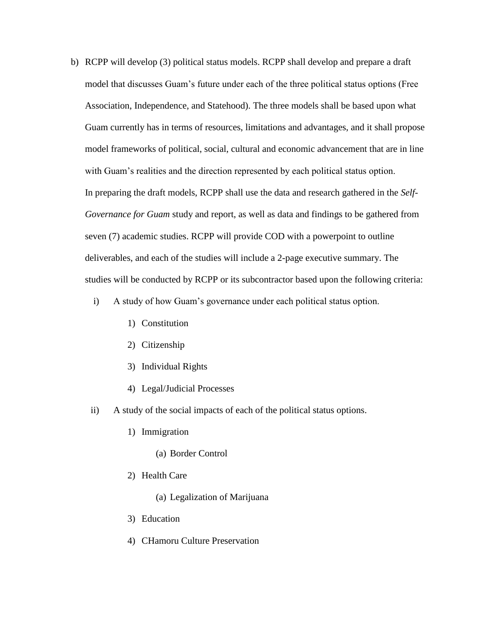- b) RCPP will develop (3) political status models. RCPP shall develop and prepare a draft model that discusses Guam's future under each of the three political status options (Free Association, Independence, and Statehood). The three models shall be based upon what Guam currently has in terms of resources, limitations and advantages, and it shall propose model frameworks of political, social, cultural and economic advancement that are in line with Guam's realities and the direction represented by each political status option. In preparing the draft models, RCPP shall use the data and research gathered in the *Self-Governance for Guam* study and report, as well as data and findings to be gathered from seven (7) academic studies. RCPP will provide COD with a powerpoint to outline deliverables, and each of the studies will include a 2-page executive summary. The studies will be conducted by RCPP or its subcontractor based upon the following criteria:
	- i) A study of how Guam's governance under each political status option.
		- 1) Constitution
		- 2) Citizenship
		- 3) Individual Rights
		- 4) Legal/Judicial Processes
	- ii) A study of the social impacts of each of the political status options.
		- 1) Immigration
			- (a) Border Control
		- 2) Health Care
			- (a) Legalization of Marijuana
		- 3) Education
		- 4) CHamoru Culture Preservation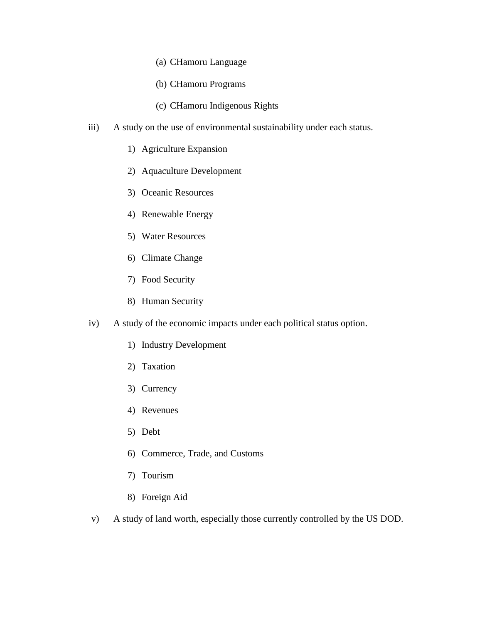- (a) CHamoru Language
- (b) CHamoru Programs
- (c) CHamoru Indigenous Rights
- iii) A study on the use of environmental sustainability under each status.
	- 1) Agriculture Expansion
	- 2) Aquaculture Development
	- 3) Oceanic Resources
	- 4) Renewable Energy
	- 5) Water Resources
	- 6) Climate Change
	- 7) Food Security
	- 8) Human Security
- iv) A study of the economic impacts under each political status option.
	- 1) Industry Development
	- 2) Taxation
	- 3) Currency
	- 4) Revenues
	- 5) Debt
	- 6) Commerce, Trade, and Customs
	- 7) Tourism
	- 8) Foreign Aid
- v) A study of land worth, especially those currently controlled by the US DOD.